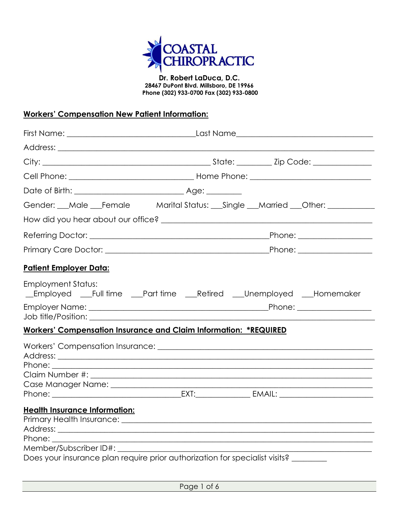

**Dr. Robert LaDuca, D.C. 28467 DuPont Blvd. Millsboro, DE 19966 Phone (302) 933-0700 Fax (302) 933-0800**

## **Workers' Compensation New Patient Information:**

|                                                                                    | Gender: __Male __Female Marital Status: __Single __Married __Other: ____________   |  |
|------------------------------------------------------------------------------------|------------------------------------------------------------------------------------|--|
|                                                                                    |                                                                                    |  |
|                                                                                    |                                                                                    |  |
|                                                                                    |                                                                                    |  |
| <u> Patient Employer Data:</u>                                                     |                                                                                    |  |
| <b>Employment Status:</b>                                                          | _Employed __Full time __Part time __Retired __Unemployed __Homemaker               |  |
|                                                                                    |                                                                                    |  |
|                                                                                    | <b>Workers' Compensation Insurance and Claim Information: *REQUIRED</b>            |  |
|                                                                                    |                                                                                    |  |
|                                                                                    |                                                                                    |  |
| <b>Health Insurance Information:</b><br>Phone:<br>Member/Subscriber ID#: _________ | Does your insurance plan require prior authorization for specialist visits? ______ |  |

Page 1 of 6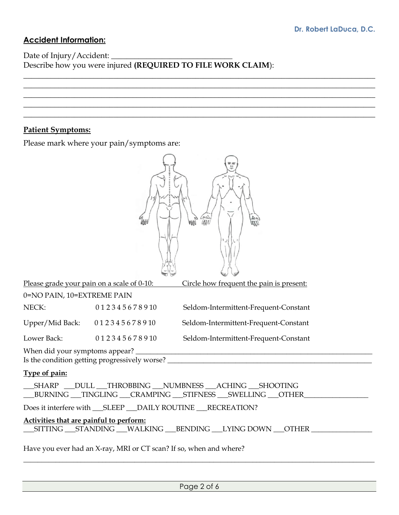## **Accident Information:**

Date of Injury/Accident: Describe how you were injured **(REQUIRED TO FILE WORK CLAIM**):

 $\_$  , and the contribution of the contribution of  $\mathcal{L}$  , and  $\mathcal{L}$  , and  $\mathcal{L}$  , and  $\mathcal{L}$  , and  $\mathcal{L}$  $\_$  , and the contribution of the contribution of  $\mathcal{L}$  , and  $\mathcal{L}$  , and  $\mathcal{L}$  , and  $\mathcal{L}$  , and  $\mathcal{L}$  $\_$  , and the contribution of the contribution of  $\mathcal{L}$  , and  $\mathcal{L}$  , and  $\mathcal{L}$  , and  $\mathcal{L}$  , and  $\mathcal{L}$  $\_$  , and the contribution of the contribution of  $\mathcal{L}$  , and  $\mathcal{L}$  , and  $\mathcal{L}$  , and  $\mathcal{L}$  , and  $\mathcal{L}$  $\_$  , and the contribution of the contribution of  $\mathcal{L}$  , and  $\mathcal{L}$  , and  $\mathcal{L}$  , and  $\mathcal{L}$  , and  $\mathcal{L}$ 

## **Patient Symptoms:**

Please mark where your pain/symptoms are:

|                                         | Please grade your pain on a scale of 0-10:                         | Circle how frequent the pain is present:                                                                       |  |
|-----------------------------------------|--------------------------------------------------------------------|----------------------------------------------------------------------------------------------------------------|--|
| 0=NO PAIN, 10=EXTREME PAIN              |                                                                    |                                                                                                                |  |
| NECK:                                   | 012345678910                                                       | Seldom-Intermittent-Frequent-Constant                                                                          |  |
| Upper/Mid Back: 012345678910            |                                                                    | Seldom-Intermittent-Frequent-Constant                                                                          |  |
| Lower Back:                             | 012345678910                                                       | Seldom-Intermittent-Frequent-Constant                                                                          |  |
|                                         |                                                                    |                                                                                                                |  |
| Type of pain:                           |                                                                    |                                                                                                                |  |
|                                         |                                                                    | __SHARP __DULL __THROBBING __NUMBNESS __ACHING __SHOOTING<br>BURNING TINGLING CRAMPING STIFNESS SWELLING OTHER |  |
|                                         |                                                                    |                                                                                                                |  |
| Activities that are painful to perform: |                                                                    |                                                                                                                |  |
|                                         | Have you ever had an X-ray, MRI or CT scan? If so, when and where? |                                                                                                                |  |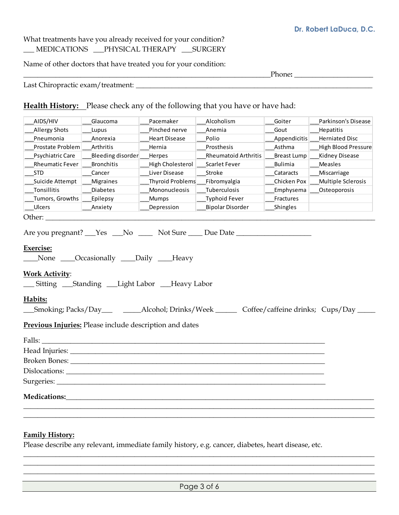## What treatments have you already received for your condition? \_\_\_ MEDICATIONS \_\_\_PHYSICAL THERAPY \_\_\_SURGERY

Name of other doctors that have treated you for your condition:

| $\sim$<br> |  |
|------------|--|
|            |  |

Last Chiropractic exam/treatment: \_\_\_\_\_\_\_\_\_\_\_\_\_\_\_\_\_\_\_\_\_\_\_\_\_\_\_\_\_\_**\_\_\_\_\_\_\_\_\_\_\_\_\_\_\_\_\_\_\_\_\_\_**\_\_\_\_\_\_\_\_\_\_\_\_\_\_

**Health History:** Please check any of the following that you have or have had:

| AIDS/HIV                                                                                                                                                                                                                       | Glaucoma                                         | Pacemaker            | Alcoholism                                                                                          | Goiter             | Parkinson's Disease        |
|--------------------------------------------------------------------------------------------------------------------------------------------------------------------------------------------------------------------------------|--------------------------------------------------|----------------------|-----------------------------------------------------------------------------------------------------|--------------------|----------------------------|
| <b>Allergy Shots</b>                                                                                                                                                                                                           | Lupus                                            | Pinched nerve        | Anemia                                                                                              | Gout               | Hepatitis                  |
| Pneumonia                                                                                                                                                                                                                      | Anorexia                                         | <b>Heart Disease</b> | Polio                                                                                               | Appendicitis       | <b>Herniated Disc</b>      |
| Prostate Problem                                                                                                                                                                                                               | Arthritis                                        | Hernia               | Prosthesis                                                                                          | Asthma             | <b>High Blood Pressure</b> |
| Psychiatric Care                                                                                                                                                                                                               | Bleeding disorder                                | Herpes               | <b>Rheumatoid Arthritis</b>                                                                         | <b>Breast Lump</b> | Kidney Disease             |
| <b>Rheumatic Fever</b>                                                                                                                                                                                                         | <b>Bronchitis</b>                                | High Cholesterol     | Scarlet Fever                                                                                       | <b>Bulimia</b>     | Measles                    |
| <b>STD</b>                                                                                                                                                                                                                     | Cancer                                           | Liver Disease        | Stroke                                                                                              | Cataracts          | Miscarriage                |
| Suicide Attempt                                                                                                                                                                                                                | Migraines                                        | Thyroid Problems     | Fibromyalgia                                                                                        | Chicken Pox        | Multiple Sclerosis         |
| Tonsillitis                                                                                                                                                                                                                    | Diabetes                                         | Mononucleosis        | Tuberculosis                                                                                        | Emphysema          | Osteoporosis               |
| Tumors, Growths                                                                                                                                                                                                                | Epilepsy                                         | Mumps                | <b>Typhoid Fever</b>                                                                                | Fractures          |                            |
| Ulcers                                                                                                                                                                                                                         | Anxiety                                          | Depression           | <b>Bipolar Disorder</b>                                                                             | Shingles           |                            |
| Other:                                                                                                                                                                                                                         |                                                  |                      |                                                                                                     |                    |                            |
| <b>Exercise:</b><br><b>Work Activity:</b><br>__ Sitting ___Standing ___Light Labor ___Heavy Labor<br>Habits:                                                                                                                   | None <i>___</i> Occasionally ____Daily ____Heavy |                      | _Smoking; Packs/Day_____________Alcohol; Drinks/Week __________ Coffee/caffeine drinks; Cups/Day __ |                    |                            |
| Previous Injuries: Please include description and dates                                                                                                                                                                        |                                                  |                      |                                                                                                     |                    |                            |
|                                                                                                                                                                                                                                |                                                  |                      |                                                                                                     |                    |                            |
|                                                                                                                                                                                                                                |                                                  |                      |                                                                                                     |                    |                            |
| Broken Bones: New York Contract to the Contract of the Contract of the Contract of the Contract of the Contract of the Contract of the Contract of the Contract of the Contract of the Contract of the Contract of the Contrac |                                                  |                      |                                                                                                     |                    |                            |
|                                                                                                                                                                                                                                |                                                  |                      |                                                                                                     |                    |                            |
| Surgeries:                                                                                                                                                                                                                     |                                                  |                      |                                                                                                     |                    |                            |
| <b>Medications:</b>                                                                                                                                                                                                            |                                                  |                      |                                                                                                     |                    |                            |
|                                                                                                                                                                                                                                |                                                  |                      |                                                                                                     |                    |                            |

#### **Family History:**

Please describe any relevant, immediate family history, e.g. cancer, diabetes, heart disease, etc.

**\_\_\_\_\_\_\_\_\_\_\_\_\_\_\_\_\_\_\_\_\_\_\_\_\_\_\_\_\_\_\_\_\_\_\_\_\_\_\_\_\_\_\_\_\_\_\_\_\_\_\_\_\_\_\_\_\_\_\_\_\_\_\_\_\_\_\_\_\_\_\_\_\_\_\_\_\_\_\_\_\_\_\_\_\_\_\_\_\_\_\_\_\_\_\_\_\_\_ \_\_\_\_\_\_\_\_\_\_\_\_\_\_\_\_\_\_\_\_\_\_\_\_\_\_\_\_\_\_\_\_\_\_\_\_\_\_\_\_\_\_\_\_\_\_\_\_\_\_\_\_\_\_\_\_\_\_\_\_\_\_\_\_\_\_\_\_\_\_\_\_\_\_\_\_\_\_\_\_\_\_\_\_\_\_\_\_\_\_\_\_\_\_\_\_\_\_ \_\_\_\_\_\_\_\_\_\_\_\_\_\_\_\_\_\_\_\_\_\_\_\_\_\_\_\_\_\_\_\_\_\_\_\_\_\_\_\_\_\_\_\_\_\_\_\_\_\_\_\_\_\_\_\_\_\_\_\_\_\_\_\_\_\_\_\_\_\_\_\_\_\_\_\_\_\_\_\_\_\_\_\_\_\_\_\_\_\_\_\_\_\_\_\_\_\_**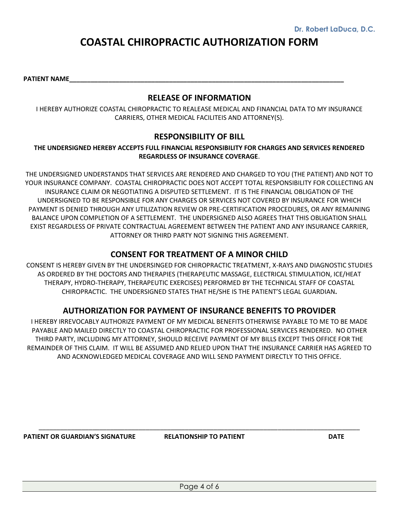# **COASTAL CHIROPRACTIC AUTHORIZATION FORM**

PATIENT NAME

#### **RELEASE OF INFORMATION**

I HEREBY AUTHORIZE COASTAL CHIROPRACTIC TO REALEASE MEDICAL AND FINANCIAL DATA TO MY INSURANCE CARRIERS, OTHER MEDICAL FACILITEIS AND ATTORNEY(S).

#### **RESPONSIBILITY OF BILL**

#### **THE UNDERSIGNED HEREBY ACCEPTS FULL FINANCIAL RESPONSIBILITY FOR CHARGES AND SERVICES RENDERED REGARDLESS OF INSURANCE COVERAGE**.

THE UNDERSIGNED UNDERSTANDS THAT SERVICES ARE RENDERED AND CHARGED TO YOU (THE PATIENT) AND NOT TO YOUR INSURANCE COMPANY. COASTAL CHIROPRACTIC DOES NOT ACCEPT TOTAL RESPONSIBILITY FOR COLLECTING AN INSURANCE CLAIM OR NEGOTIATING A DISPUTED SETTLEMENT. IT IS THE FINANCIAL OBLIGATION OF THE UNDERSIGNED TO BE RESPONSIBLE FOR ANY CHARGES OR SERVICES NOT COVERED BY INSURANCE FOR WHICH PAYMENT IS DENIED THROUGH ANY UTILIZATION REVIEW OR PRE-CERTIFICATION PROCEDURES, OR ANY REMAINING BALANCE UPON COMPLETION OF A SETTLEMENT. THE UNDERSIGNED ALSO AGREES THAT THIS OBLIGATION SHALL EXIST REGARDLESS OF PRIVATE CONTRACTUAL AGREEMENT BETWEEN THE PATIENT AND ANY INSURANCE CARRIER, ATTORNEY OR THIRD PARTY NOT SIGNING THIS AGREEMENT.

### **CONSENT FOR TREATMENT OF A MINOR CHILD**

CONSENT IS HEREBY GIVEN BY THE UNDERSINGED FOR CHIROPRACTIC TREATMENT, X-RAYS AND DIAGNOSTIC STUDIES AS ORDERED BY THE DOCTORS AND THERAPIES (THERAPEUTIC MASSAGE, ELECTRICAL STIMULATION, ICE/HEAT THERAPY, HYDRO-THERAPY, THERAPEUTIC EXERCISES) PERFORMED BY THE TECHNICAL STAFF OF COASTAL CHIROPRACTIC. THE UNDERSIGNED STATES THAT HE/SHE IS THE PATIENT'S LEGAL GUARDIAN**.**

#### **AUTHORIZATION FOR PAYMENT OF INSURANCE BENEFITS TO PROVIDER**

I HEREBY IRREVOCABLY AUTHORIZE PAYMENT OF MY MEDICAL BENEFITS OTHERWISE PAYABLE TO ME TO BE MADE PAYABLE AND MAILED DIRECTLY TO COASTAL CHIROPRACTIC FOR PROFESSIONAL SERVICES RENDERED. NO OTHER THIRD PARTY, INCLUDING MY ATTORNEY, SHOULD RECEIVE PAYMENT OF MY BILLS EXCEPT THIS OFFICE FOR THE REMAINDER OF THIS CLAIM. IT WILL BE ASSUMED AND RELIED UPON THAT THE INSURANCE CARRIER HAS AGREED TO AND ACKNOWLEDGED MEDICAL COVERAGE AND WILL SEND PAYMENT DIRECTLY TO THIS OFFICE.

**PATIENT OR GUARDIAN'S SIGNATURE RELATIONSHIP TO PATIENT DATE**

\_\_\_\_\_\_\_\_\_\_\_\_\_\_\_\_\_\_\_\_\_\_\_\_\_\_\_\_\_\_\_\_\_\_\_\_\_\_\_\_\_\_\_\_\_\_\_\_\_\_\_\_\_\_\_\_\_\_\_\_\_\_\_\_\_\_\_\_\_\_\_\_\_\_\_\_\_\_\_\_\_\_\_\_\_\_\_\_\_\_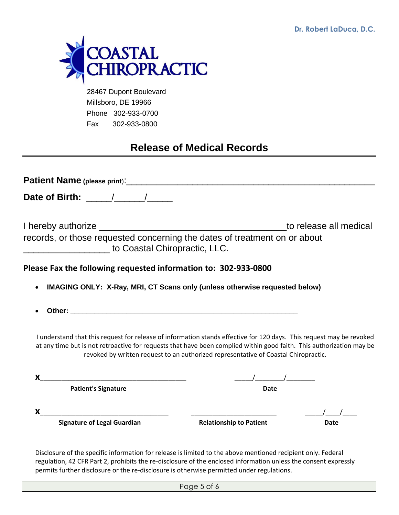**Dr. Robert LaDuca, D.C.**



 28467 Dupont Boulevard Millsboro, DE 19966 Phone 302-933-0700 Fax 302-933-0800

## **Release of Medical Records**

| records, or those requested concerning the dates of treatment on or about<br>to Coastal Chiropractic, LLC.                                                                                                                                   |                                                                                                                                                                                                                                                                                                                     | to release all medical |
|----------------------------------------------------------------------------------------------------------------------------------------------------------------------------------------------------------------------------------------------|---------------------------------------------------------------------------------------------------------------------------------------------------------------------------------------------------------------------------------------------------------------------------------------------------------------------|------------------------|
| Please Fax the following requested information to: 302-933-0800                                                                                                                                                                              |                                                                                                                                                                                                                                                                                                                     |                        |
| IMAGING ONLY: X-Ray, MRI, CT Scans only (unless otherwise requested below)                                                                                                                                                                   |                                                                                                                                                                                                                                                                                                                     |                        |
|                                                                                                                                                                                                                                              |                                                                                                                                                                                                                                                                                                                     |                        |
| I understand that this request for release of information stands effective for 120 days. This request may be revoked<br>at any time but is not retroactive for requests that have been complied within good faith. This authorization may be | revoked by written request to an authorized representative of Coastal Chiropractic.                                                                                                                                                                                                                                 |                        |
| x.                                                                                                                                                                                                                                           | $\frac{1}{2}$ $\frac{1}{2}$ $\frac{1}{2}$ $\frac{1}{2}$ $\frac{1}{2}$ $\frac{1}{2}$ $\frac{1}{2}$ $\frac{1}{2}$ $\frac{1}{2}$ $\frac{1}{2}$ $\frac{1}{2}$ $\frac{1}{2}$ $\frac{1}{2}$ $\frac{1}{2}$ $\frac{1}{2}$ $\frac{1}{2}$ $\frac{1}{2}$ $\frac{1}{2}$ $\frac{1}{2}$ $\frac{1}{2}$ $\frac{1}{2}$ $\frac{1}{2}$ |                        |
| <b>Patient's Signature</b>                                                                                                                                                                                                                   | <b>Date</b>                                                                                                                                                                                                                                                                                                         |                        |
| X.                                                                                                                                                                                                                                           |                                                                                                                                                                                                                                                                                                                     |                        |
| <b>Signature of Legal Guardian</b>                                                                                                                                                                                                           | <b>Relationship to Patient</b>                                                                                                                                                                                                                                                                                      | Date                   |
|                                                                                                                                                                                                                                              |                                                                                                                                                                                                                                                                                                                     |                        |

Disclosure of the specific information for release is limited to the above mentioned recipient only. Federal regulation, 42 CFR Part 2, prohibits the re-disclosure of the enclosed information unless the consent expressly permits further disclosure or the re-disclosure is otherwise permitted under regulations.

Page 5 of 6